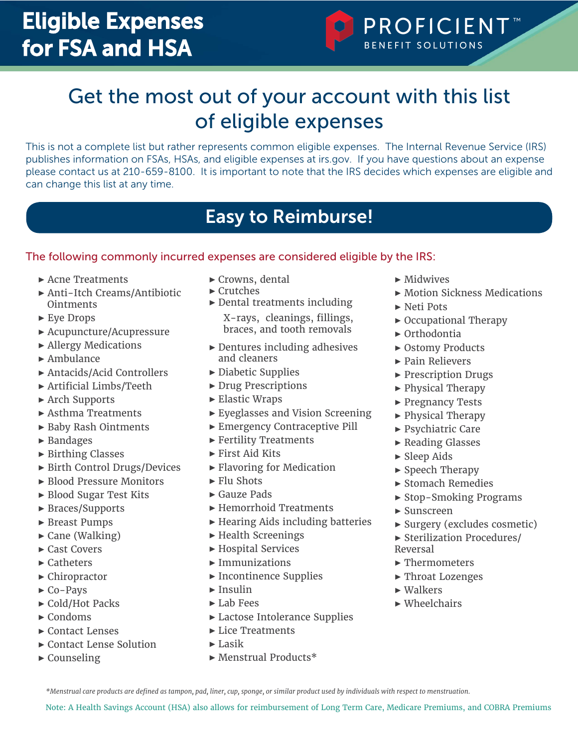

# Get the most out of your account with this list of eligible expenses

This is not a complete list but rather represents common eligible expenses. The Internal Revenue Service (IRS) publishes information on FSAs, HSAs, and eligible expenses at irs.gov. If you have questions about an expense please contact us at 210-659-8100. It is important to note that the IRS decides which expenses are eligible and can change this list at any time.

## Easy to Reimburse!

### The following commonly incurred expenses are considered eligible by the IRS:

- ▶ Acne Treatments
- ▶ Anti-Itch Creams/Antibiotic Ointments
- ▶ Eye Drops
- ▶ Acupuncture/Acupressure
- ▶ Allergy Medications
- $\blacktriangleright$  Ambulance
- ▶ Antacids/Acid Controllers
- ▶ Artificial Limbs/Teeth
- ▶ Arch Supports
- ▶ Asthma Treatments
- ▶ Baby Rash Ointments
- ▶ Bandages
- ▶ Birthing Classes
- ▶ Birth Control Drugs/Devices
- ▶ Blood Pressure Monitors
- ▶ Blood Sugar Test Kits
- ▶ Braces/Supports
- ▶ Breast Pumps
- $\blacktriangleright$  Cane (Walking)
- ▶ Cast Covers
- ▶ Catheters
- ▶ Chiropractor
- $\triangleright$  Co-Pays
- ▶ Cold/Hot Packs
- $\blacktriangleright$  Condoms
- ▶ Contact Lenses
- ▶ Contact Lense Solution
- $\blacktriangleright$  Counseling
- ▶ Crowns, dental
- ▶ Crutches
- ▶ Dental treatments including X-rays, cleanings, fillings, braces, and tooth removals
- ▶ Dentures including adhesives and cleaners
- ▶ Diabetic Supplies
- ▶ Drug Prescriptions
- ▶ Elastic Wraps
- ▶ Eyeglasses and Vision Screening
- ▶ Emergency Contraceptive Pill
- ▶ Fertility Treatments
- $\blacktriangleright$  First Aid Kits
- ▶ Flavoring for Medication
- $\blacktriangleright$  Flu Shots
- ▶ Gauze Pads
- ▶ Hemorrhoid Treatments
- ▶ Hearing Aids including batteries
- ▶ Health Screenings
- ▶ Hospital Services
- $\blacktriangleright$  Immunizations
- ▶ Incontinence Supplies
- $\blacktriangleright$  Insulin
- ▶ Lab Fees
- ▶ Lactose Intolerance Supplies
- ▶ Lice Treatments
- $\blacktriangleright$  Lasik
- ▶ Menstrual Products\*
- $\blacktriangleright$  Midwives
- ▶ Motion Sickness Medications
- ▶ Neti Pots
- ▶ Occupational Therapy
- $\triangleright$  Orthodontia
- ▶ Ostomy Products
- ▶ Pain Relievers
- ▶ Prescription Drugs
- ▶ Physical Therapy
- ▶ Pregnancy Tests
- ▶ Physical Therapy
- ▶ Psychiatric Care
- ▶ Reading Glasses
- $\blacktriangleright$  Sleep Aids
- ▶ Speech Therapy
- ▶ Stomach Remedies
- ▶ Stop-Smoking Programs
- $\blacktriangleright$  Sunscreen
- ▶ Surgery (excludes cosmetic)
- ▶ Sterilization Procedures/ Reversal
- ▶ Thermometers
- ▶ Throat Lozenges
- $\blacktriangleright$  Walkers
- $\blacktriangleright$  Wheelchairs

*\*Menstrual care products are defined as tampon, pad, liner, cup, sponge, or similar product used by individuals with respect to menstruation.*